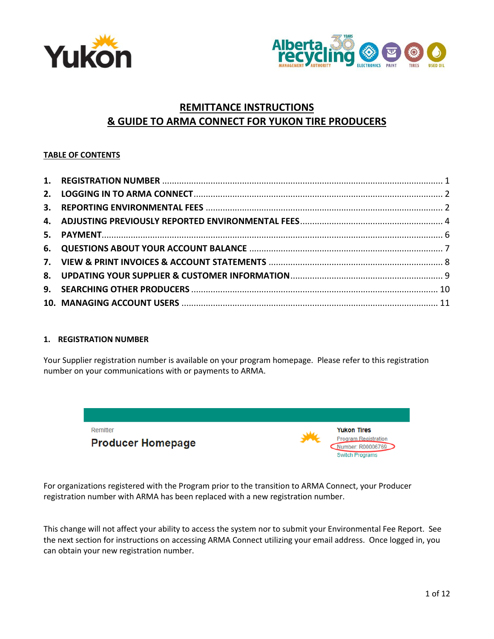



# **REMITTANCE INSTRUCTIONS & GUIDE TO ARMA CONNECT FOR YUKON TIRE PRODUCERS**

# **TABLE OF CONTENTS**

## <span id="page-0-0"></span>**1. REGISTRATION NUMBER**

Your Supplier registration number is available on your program homepage. Please refer to this registration number on your communications with or payments to ARMA.



For organizations registered with the Program prior to the transition to ARMA Connect, your Producer registration number with ARMA has been replaced with a new registration number.

This change will not affect your ability to access the system nor to submit your Environmental Fee Report. See the next section for instructions on accessing ARMA Connect utilizing your email address. Once logged in, you can obtain your new registration number.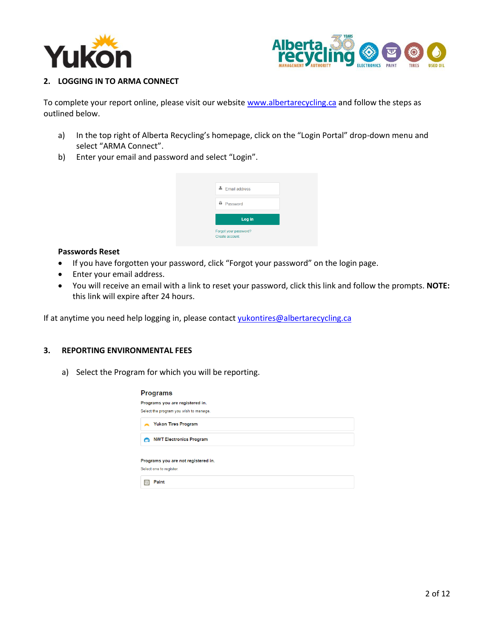



## <span id="page-1-0"></span>**2. LOGGING IN TO ARMA CONNECT**

To complete your report online, please visit our website [www.albertarecycling.ca](http://www.albertarecycling.ca/) and follow the steps as outlined below.

- a) In the top right of Alberta Recycling's homepage, click on the "Login Portal" drop-down menu and select "ARMA Connect".
- b) Enter your email and password and select "Login".



#### **Passwords Reset**

- If you have forgotten your password, click "Forgot your password" on the login page.
- Enter your email address.
- You will receive an email with a link to reset your password, click this link and follow the prompts. **NOTE:** this link will expire after 24 hours.

If at anytime you need help logging in, please contac[t yukontires@albertarecycling.ca](mailto:yukontires@albertarecycling.ca)

# <span id="page-1-1"></span>**3. REPORTING ENVIRONMENTAL FEES**

a) Select the Program for which you will be reporting.

|   | <b>Programs</b>                        |
|---|----------------------------------------|
|   | Programs you are registered in.        |
|   | Select the program you wish to manage. |
|   | <b>Yukon Tires Program</b>             |
| ౚ | <b>NWT Electronics Program</b>         |
|   | Programs you are not registered in.    |
|   | Select one to register.                |
|   | Paint                                  |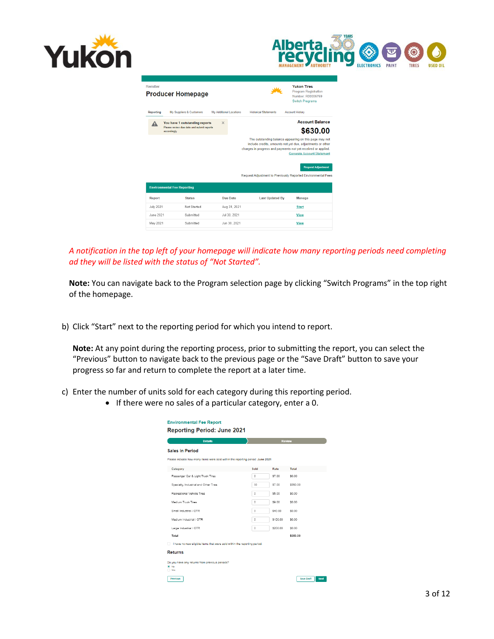



| Remitter         | <b>Producer Homepage</b>                                                                    |                                |                              | <b>Yukon Tires</b><br><b>Program Registration</b><br>Number: R00006769<br><b>Switch Programs</b>                                                                                                                           |
|------------------|---------------------------------------------------------------------------------------------|--------------------------------|------------------------------|----------------------------------------------------------------------------------------------------------------------------------------------------------------------------------------------------------------------------|
| <b>Reporting</b> | My Suppliers & Customers                                                                    | <b>My Additional Locations</b> | <b>Historical Statements</b> | <b>Account History</b>                                                                                                                                                                                                     |
| А                | You have 1 outstanding reports<br>Please review due date and submit reports<br>accordingly. | $\times$                       |                              | <b>Account Balance</b><br>\$630.00                                                                                                                                                                                         |
|                  |                                                                                             |                                |                              | The outstanding balance appearing on this page may not<br>include credits, amounts not vet due, adjustments or other<br>charges in progress and payments not vet received or applied.<br><b>Generate Account Statement</b> |
|                  |                                                                                             |                                |                              | <b>Request Adjustment</b><br><b>Request Adjustment to Previously Reported Environmental Fees</b>                                                                                                                           |
|                  | <b>Environmental Fee Reporting</b>                                                          |                                |                              |                                                                                                                                                                                                                            |
| Report           | <b>Status</b>                                                                               | Due Date                       | <b>Last Updated By</b>       | Manage                                                                                                                                                                                                                     |
| <b>July 2021</b> | Not Started                                                                                 | Aug 31, 2021                   |                              | <b>Start</b>                                                                                                                                                                                                               |
| June 2021        | Submitted                                                                                   | Jul 30, 2021                   |                              | <b>View</b>                                                                                                                                                                                                                |
| May 2021         | Submitted                                                                                   | Jun 30, 2021                   |                              | <b>View</b>                                                                                                                                                                                                                |

*A notification in the top left of your homepage will indicate how many reporting periods need completing ad they will be listed with the status of "Not Started".*

**Note:** You can navigate back to the Program selection page by clicking "Switch Programs" in the top right of the homepage.

b) Click "Start" next to the reporting period for which you intend to report.

**Note:** At any point during the reporting process, prior to submitting the report, you can select the "Previous" button to navigate back to the previous page or the "Save Draft" button to save your progress so far and return to complete the report at a later time.

- c) Enter the number of units sold for each category during this reporting period.
	- If there were no sales of a particular category, enter a 0.

| Please indicate how many items were sold within the reporting period: June 2021<br>Sold<br>$\Omega$<br>50<br>$\circ$ | Rate<br>\$7.00<br>\$7.00 | Total<br>\$0.00<br>\$350.00 |
|----------------------------------------------------------------------------------------------------------------------|--------------------------|-----------------------------|
|                                                                                                                      |                          |                             |
|                                                                                                                      |                          |                             |
|                                                                                                                      |                          |                             |
|                                                                                                                      |                          |                             |
|                                                                                                                      |                          |                             |
|                                                                                                                      | \$5.00                   | \$0.00                      |
| $\theta$                                                                                                             | \$9.00                   | \$0.00                      |
| $\theta$                                                                                                             | \$40.00                  | \$0.00                      |
| $\circ$                                                                                                              | \$100.00                 | \$0.00                      |
| $\theta$                                                                                                             | \$200.00                 | \$0.00                      |
|                                                                                                                      |                          | \$350.00                    |
| I have no new eligible items that were sold within the reporting period.                                             |                          |                             |
|                                                                                                                      |                          |                             |
|                                                                                                                      |                          |                             |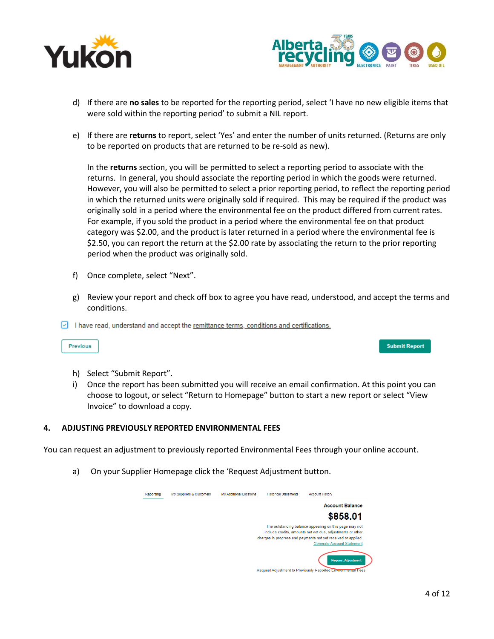



- d) If there are **no sales** to be reported for the reporting period, select 'I have no new eligible items that were sold within the reporting period' to submit a NIL report.
- e) If there are **returns** to report, select 'Yes' and enter the number of units returned. (Returns are only to be reported on products that are returned to be re-sold as new).

In the **returns** section, you will be permitted to select a reporting period to associate with the returns. In general, you should associate the reporting period in which the goods were returned. However, you will also be permitted to select a prior reporting period, to reflect the reporting period in which the returned units were originally sold if required. This may be required if the product was originally sold in a period where the environmental fee on the product differed from current rates. For example, if you sold the product in a period where the environmental fee on that product category was \$2.00, and the product is later returned in a period where the environmental fee is \$2.50, you can report the return at the \$2.00 rate by associating the return to the prior reporting period when the product was originally sold.

- f) Once complete, select "Next".
- g) Review your report and check off box to agree you have read, understood, and accept the terms and conditions.
- $\boxed{\text{ }$  I have read, understand and accept the remittance terms, conditions and certifications.

Previous

- h) Select "Submit Report".
- i) Once the report has been submitted you will receive an email confirmation. At this point you can choose to logout, or select "Return to Homepage" button to start a new report or select "View Invoice" to download a copy.

#### <span id="page-3-0"></span>**4. ADJUSTING PREVIOUSLY REPORTED ENVIRONMENTAL FEES**

You can request an adjustment to previously reported Environmental Fees through your online account.

a) On your Supplier Homepage click the 'Request Adjustment button.

| Reporting | My Suppliers & Customers | <b>My Additional Locations</b> | <b>Historical Statements</b> | <b>Account History</b>                                                                                                                                                                                                     |
|-----------|--------------------------|--------------------------------|------------------------------|----------------------------------------------------------------------------------------------------------------------------------------------------------------------------------------------------------------------------|
|           |                          |                                |                              | <b>Account Balance</b>                                                                                                                                                                                                     |
|           |                          |                                |                              | \$858.01                                                                                                                                                                                                                   |
|           |                          |                                |                              | The outstanding balance appearing on this page may not<br>include credits, amounts not yet due, adjustments or other<br>charges in progress and payments not yet received or applied.<br><b>Generate Account Statement</b> |
|           |                          |                                |                              | <b>Request Adjustment</b>                                                                                                                                                                                                  |
|           |                          |                                |                              | Request Adjustment to Previously Reported Environmental Fees                                                                                                                                                               |

**Submit Report**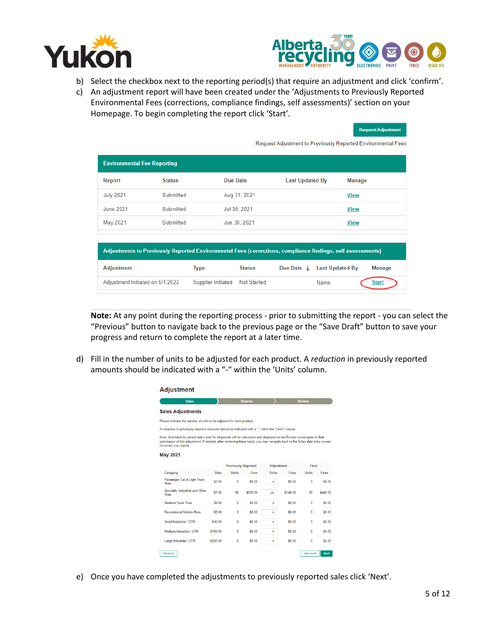



.<br>Request Adiustment

- b) Select the checkbox next to the reporting period(s) that require an adjustment and click 'confirm'.
- c) An adjustment report will have been created under the 'Adjustments to Previously Reported Environmental Fees (corrections, compliance findings, self assessments)' section on your Homepage. To begin completing the report click 'Start'.

| <b>Environmental Fee Reporting</b> |                            |                                                          |      |                        |                                                                                                                                                                                                      |
|------------------------------------|----------------------------|----------------------------------------------------------|------|------------------------|------------------------------------------------------------------------------------------------------------------------------------------------------------------------------------------------------|
| <b>Status</b>                      |                            |                                                          |      | Manage                 |                                                                                                                                                                                                      |
| Submitted                          |                            |                                                          |      | <b>View</b>            |                                                                                                                                                                                                      |
| Submitted                          |                            |                                                          |      | <b>View</b>            |                                                                                                                                                                                                      |
| Submitted                          |                            |                                                          |      | View                   |                                                                                                                                                                                                      |
|                                    |                            |                                                          |      |                        |                                                                                                                                                                                                      |
|                                    |                            |                                                          |      |                        |                                                                                                                                                                                                      |
|                                    | <b>Status</b>              | Due Date $\downarrow$                                    |      |                        | Manage                                                                                                                                                                                               |
| Adjustment Initiated on 6/1/2022   | Not Started                |                                                          | Name |                        | <b>Start</b>                                                                                                                                                                                         |
|                                    | Type<br>Supplier Initiated | Due Date<br>Aug 31, 2021<br>Jul 30, 2021<br>Jun 30, 2021 |      | <b>Last Updated By</b> | Request Adjustment to Previously Reported Environmental Fees<br>Adjustments to Previously Reported Environmental Fees (corrections, compliance findings, self assessments)<br><b>Last Updated By</b> |

**Note:** At any point during the reporting process - prior to submitting the report - you can select the "Previous" button to navigate back to the previous page or the "Save Draft" button to save your progress and return to complete the report at a later time.

d) Fill in the number of units to be adjusted for each product. A *reduction* in previously reported amounts should be indicated with a "-" within the 'Units' column.

| <b>Sales</b>                                                                                                                                                                                                                                                                           |          |                            | <b>Returns</b> |                   |            | <b>Review</b> |          |
|----------------------------------------------------------------------------------------------------------------------------------------------------------------------------------------------------------------------------------------------------------------------------------------|----------|----------------------------|----------------|-------------------|------------|---------------|----------|
| <b>Sales Adjustments</b>                                                                                                                                                                                                                                                               |          |                            |                |                   |            |               |          |
| Please indicate the number of units to be adjusted for each product.                                                                                                                                                                                                                   |          |                            |                |                   |            |               |          |
| A reduction in previously reported amounts should be indicated with a "-" within the "Units" column.                                                                                                                                                                                   |          |                            |                |                   |            |               |          |
| Note: Sub-totals by period and a total for all periods will be calculated and displayed on the Review screen prior to final<br>submission of this adjustment. If needed, after reviewing these totals, you may navigate back to the Sales data entry screen<br>to correct your inputs. |          |                            |                |                   |            |               |          |
| <b>May 2021</b>                                                                                                                                                                                                                                                                        |          |                            |                |                   |            |               |          |
|                                                                                                                                                                                                                                                                                        |          | <b>Previously Reported</b> |                | <b>Adjustment</b> |            | Final         |          |
| Category                                                                                                                                                                                                                                                                               | Rate     | Units                      | Fees           | <b>Units</b>      | Fees       | <b>Units</b>  | Fees     |
| Passenger Car & Light Truck<br><b>Tires</b>                                                                                                                                                                                                                                            | \$7.00   | Ō                          | \$0.00         | o                 | \$0.00     | 0             | \$0.00   |
| Specialty, Industrial and Other<br><b>Tires</b>                                                                                                                                                                                                                                        | \$7.00   | 90                         | S630.00        | $-20$             | $-5140.00$ | 70            | \$490.00 |
| <b>Medium Truck Tires</b>                                                                                                                                                                                                                                                              | \$9.00   | 0                          | \$0.00         | ö                 | \$0.00     | 0             | \$0.00   |
|                                                                                                                                                                                                                                                                                        | \$5.00   | 0                          | \$0.00         | o                 | \$0.00     | 0             | \$0.00   |
| <b>Recreational Vehicle Tires</b>                                                                                                                                                                                                                                                      |          | 0                          | \$0.00         | ö                 | \$0.00     | 0             | S0 00    |
| Small Industrial / OTR                                                                                                                                                                                                                                                                 | \$40.00  |                            |                |                   |            |               | \$0.00   |
| Medium Industrial / OTR                                                                                                                                                                                                                                                                | \$100.00 | 0                          | \$0.00         | ö                 | \$0.00     | Ō             |          |

e) Once you have completed the adjustments to previously reported sales click 'Next'.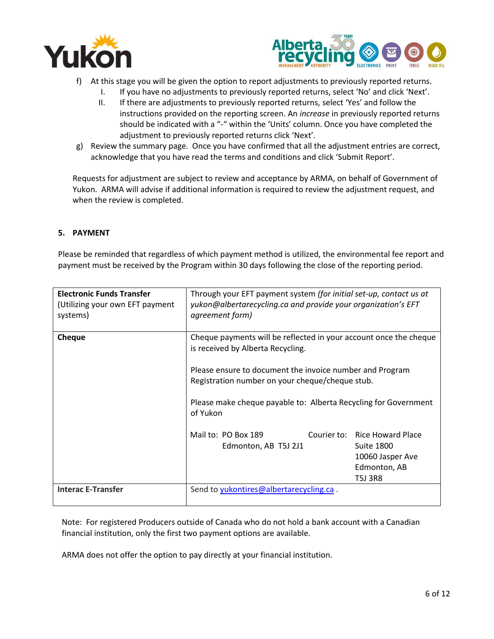



- f) At this stage you will be given the option to report adjustments to previously reported returns.
	- I. If you have no adjustments to previously reported returns, select 'No' and click 'Next'.
	- II. If there are adjustments to previously reported returns, select 'Yes' and follow the instructions provided on the reporting screen. An *increase* in previously reported returns should be indicated with a "-" within the 'Units' column. Once you have completed the adjustment to previously reported returns click 'Next'.
- g) Review the summary page. Once you have confirmed that all the adjustment entries are correct, acknowledge that you have read the terms and conditions and click 'Submit Report'.

Requests for adjustment are subject to review and acceptance by ARMA, on behalf of Government of Yukon. ARMA will advise if additional information is required to review the adjustment request, and when the review is completed.

## <span id="page-5-0"></span>**5. PAYMENT**

Please be reminded that regardless of which payment method is utilized, the environmental fee report and payment must be received by the Program within 30 days following the close of the reporting period.

| <b>Electronic Funds Transfer</b><br>(Utilizing your own EFT payment<br>systems) | Through your EFT payment system (for initial set-up, contact us at<br>yukon@albertarecycling.ca and provide your organization's EFT<br>agreement form)                                                                                                                                               |                                                                                                   |
|---------------------------------------------------------------------------------|------------------------------------------------------------------------------------------------------------------------------------------------------------------------------------------------------------------------------------------------------------------------------------------------------|---------------------------------------------------------------------------------------------------|
| <b>Cheque</b>                                                                   | Cheque payments will be reflected in your account once the cheque<br>is received by Alberta Recycling.<br>Please ensure to document the invoice number and Program<br>Registration number on your cheque/cheque stub.<br>Please make cheque payable to: Alberta Recycling for Government<br>of Yukon |                                                                                                   |
|                                                                                 | Mail to: PO Box 189<br>Edmonton, AB T5J 2J1                                                                                                                                                                                                                                                          | Courier to: Rice Howard Place<br><b>Suite 1800</b><br>10060 Jasper Ave<br>Edmonton, AB<br>T5J 3R8 |
| <b>Interac E-Transfer</b>                                                       | Send to yukontires@albertarecycling.ca.                                                                                                                                                                                                                                                              |                                                                                                   |

Note: For registered Producers outside of Canada who do not hold a bank account with a Canadian financial institution, only the first two payment options are available.

ARMA does not offer the option to pay directly at your financial institution.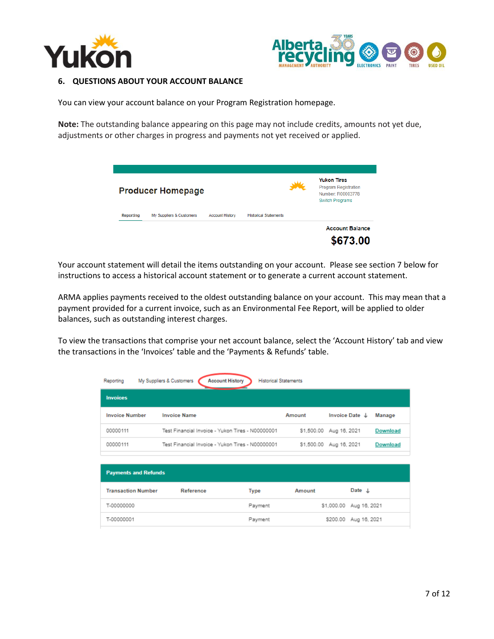



#### <span id="page-6-0"></span>**6. QUESTIONS ABOUT YOUR ACCOUNT BALANCE**

You can view your account balance on your Program Registration homepage.

**Note:** The outstanding balance appearing on this page may not include credits, amounts not yet due, adjustments or other charges in progress and payments not yet received or applied.

|           | <b>Producer Homepage</b> |                        |                              | <b>Yukon Tires</b><br><b>Program Registration</b><br>Number: R00003778<br><b>Switch Programs</b> |
|-----------|--------------------------|------------------------|------------------------------|--------------------------------------------------------------------------------------------------|
| Reporting | My Suppliers & Customers | <b>Account History</b> | <b>Historical Statements</b> |                                                                                                  |
|           |                          |                        |                              | <b>Account Balance</b><br>\$673.00                                                               |

Your account statement will detail the items outstanding on your account. Please see section 7 below for instructions to access a historical account statement or to generate a current account statement.

ARMA applies payments received to the oldest outstanding balance on your account. This may mean that a payment provided for a current invoice, such as an Environmental Fee Report, will be applied to older balances, such as outstanding interest charges.

To view the transactions that comprise your net account balance, select the 'Account History' tab and view the transactions in the 'Invoices' table and the 'Payments & Refunds' table.

| Reporting                   | My Suppliers & Customers<br><b>Account History</b> | <b>Historical Statements</b> |        |                           |                 |
|-----------------------------|----------------------------------------------------|------------------------------|--------|---------------------------|-----------------|
| <b>Invoices</b>             |                                                    |                              |        |                           |                 |
| <b>Invoice Number</b>       | <b>Invoice Name</b>                                |                              | Amount | Invoice Date $\downarrow$ | Manage          |
| 00000111                    | Test Financial Invoice - Yukon Tires - N00000001   |                              |        | \$1,500.00 Aug 16, 2021   | <b>Download</b> |
| 00000111                    | Test Financial Invoice - Yukon Tires - N00000001   |                              |        | \$1,500.00 Aug 16, 2021   | Download        |
|                             |                                                    |                              |        |                           |                 |
| <b>Payments and Refunds</b> |                                                    |                              |        |                           |                 |
| <b>Transaction Number</b>   | Reference                                          | Type                         | Amount | Date $\downarrow$         |                 |
| T-00000000                  |                                                    | Payment                      |        | \$1,000.00 Aug 16, 2021   |                 |
| T-00000001                  |                                                    | Payment                      |        | \$200.00<br>Aug 16, 2021  |                 |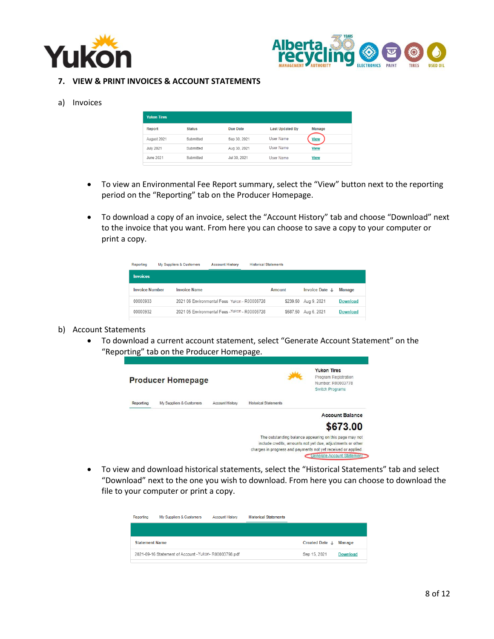



#### <span id="page-7-0"></span>**7. VIEW & PRINT INVOICES & ACCOUNT STATEMENTS**

#### a) Invoices

| <b>Yukon Tires</b> |               |              |                        |               |
|--------------------|---------------|--------------|------------------------|---------------|
| Report             | <b>Status</b> | Due Date     | <b>Last Updated By</b> | <b>Manage</b> |
| August 2021        | Submitted     | Sep 30, 2021 | User Name              | <b>View</b>   |
| <b>July 2021</b>   | Submitted     | Aug 30, 2021 | User Name              | <b>View</b>   |
| June 2021          | Submitted     | Jul 30, 2021 | User Name              | <b>View</b>   |

- To view an Environmental Fee Report summary, select the "View" button next to the reporting period on the "Reporting" tab on the Producer Homepage.
- To download a copy of an invoice, select the "Account History" tab and choose "Download" next to the invoice that you want. From here you can choose to save a copy to your computer or print a copy.

| Reporting             | My Suppliers & Customers | <b>Account History</b>                         | <b>Historical Statements</b> |                      |                      |                 |
|-----------------------|--------------------------|------------------------------------------------|------------------------------|----------------------|----------------------|-----------------|
| <b>Invoices</b>       |                          |                                                |                              |                      |                      |                 |
| <b>Invoice Number</b> | <b>Invoice Name</b>      |                                                | Amount                       |                      | Invoice Date $\perp$ | <b>Manage</b>   |
| 00000933              |                          | 2021 06 Environmental Fees Yukon - R00006728   |                              | \$239.50 Aug 9, 2021 |                      | <b>Download</b> |
| 00000932              |                          | 2021 05 Environmental Fees - Yukon - R00006728 |                              | \$587.50 Aug 6, 2021 |                      | <b>Download</b> |

#### b) Account Statements

• To download a current account statement, select "Generate Account Statement" on the "Reporting" tab on the Producer Homepage.



• To view and download historical statements, select the "Historical Statements" tab and select "Download" next to the one you wish to download. From here you can choose to download the file to your computer or print a copy.

| Reporting             | My Suppliers & Customers                              | <b>Account History</b> | <b>Historical Statements</b> |                |                 |
|-----------------------|-------------------------------------------------------|------------------------|------------------------------|----------------|-----------------|
|                       |                                                       |                        |                              |                |                 |
| <b>Statement Name</b> |                                                       |                        |                              | Created Date J | Manage          |
|                       | 2021-09-16 Statement of Account - Yukon-R00003798.pdf |                        |                              | Sep 15, 2021   | <b>Download</b> |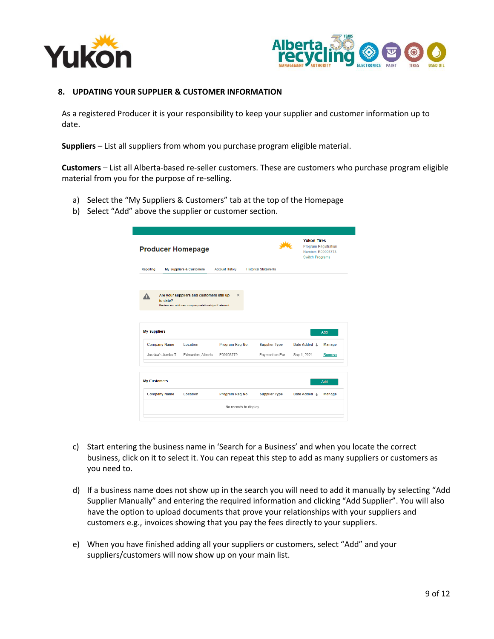



#### <span id="page-8-0"></span>**8. UPDATING YOUR SUPPLIER & CUSTOMER INFORMATION**

As a registered Producer it is your responsibility to keep your supplier and customer information up to date.

**Suppliers** – List all suppliers from whom you purchase program eligible material.

**Customers** – List all Alberta-based re-seller customers. These are customers who purchase program eligible material from you for the purpose of re-selling.

- a) Select the "My Suppliers & Customers" tab at the top of the Homepage
- b) Select "Add" above the supplier or customer section.

| <b>Producer Homepage</b>                   |                                                                                                    |                              |                                        | <b>Yukon Tires</b><br><b>Program Registration</b><br>Number: R00003778<br><b>Switch Programs</b> |                                |
|--------------------------------------------|----------------------------------------------------------------------------------------------------|------------------------------|----------------------------------------|--------------------------------------------------------------------------------------------------|--------------------------------|
| Reporting                                  | My Suppliers & Customers                                                                           | <b>Account History</b>       | <b>Historical Statements</b>           |                                                                                                  |                                |
| to date?                                   | Are your suppliers and customers still up<br>Review and add new company relationships if relevant. | $\times$                     |                                        |                                                                                                  |                                |
|                                            |                                                                                                    |                              |                                        |                                                                                                  | Add                            |
| <b>My Suppliers</b><br><b>Company Name</b> | Location<br>Jessica's Jumbo T Edmonton, Alberta                                                    | Program Reg No.<br>P00003779 | <b>Supplier Type</b><br>Payment on Pur | Date Added L<br>Sep 1, 2021                                                                      | <b>Manage</b><br><b>Remove</b> |
| <b>My Customers</b><br><b>Company Name</b> | Location                                                                                           | Program Reg No.              | <b>Supplier Type</b>                   | Date Added L                                                                                     | Add<br>Manage                  |

- c) Start entering the business name in 'Search for a Business' and when you locate the correct business, click on it to select it. You can repeat this step to add as many suppliers or customers as you need to.
- d) If a business name does not show up in the search you will need to add it manually by selecting "Add Supplier Manually" and entering the required information and clicking "Add Supplier". You will also have the option to upload documents that prove your relationships with your suppliers and customers e.g., invoices showing that you pay the fees directly to your suppliers.
- e) When you have finished adding all your suppliers or customers, select "Add" and your suppliers/customers will now show up on your main list.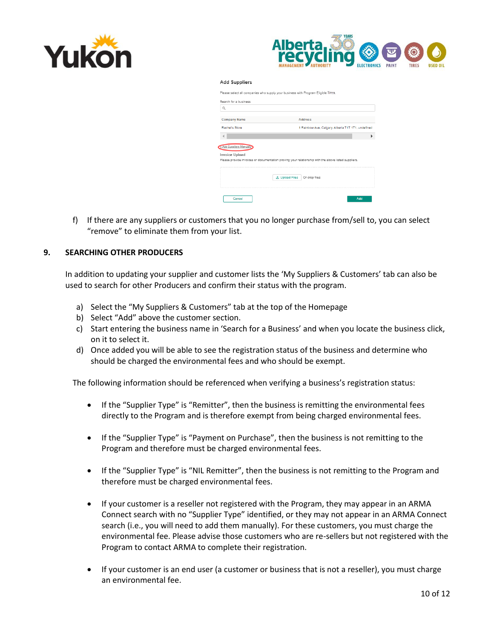



Add Suppliers

| Search for a business<br>$\alpha$ |                                                    |
|-----------------------------------|----------------------------------------------------|
| <b>Company Name</b>               | <b>Address</b>                                     |
|                                   | 1 Rainbow Ave, Calgary, Alberta T1T 1T1, undefined |
| Rachel's Store                    |                                                    |
| + Add Suppliers Manually          |                                                    |

f) If there are any suppliers or customers that you no longer purchase from/sell to, you can select "remove" to eliminate them from your list.

## <span id="page-9-0"></span>**9. SEARCHING OTHER PRODUCERS**

In addition to updating your supplier and customer lists the 'My Suppliers & Customers' tab can also be used to search for other Producers and confirm their status with the program.

- a) Select the "My Suppliers & Customers" tab at the top of the Homepage
- b) Select "Add" above the customer section.
- c) Start entering the business name in 'Search for a Business' and when you locate the business click, on it to select it.
- d) Once added you will be able to see the registration status of the business and determine who should be charged the environmental fees and who should be exempt.

The following information should be referenced when verifying a business's registration status:

- If the "Supplier Type" is "Remitter", then the business is remitting the environmental fees directly to the Program and is therefore exempt from being charged environmental fees.
- If the "Supplier Type" is "Payment on Purchase", then the business is not remitting to the Program and therefore must be charged environmental fees.
- If the "Supplier Type" is "NIL Remitter", then the business is not remitting to the Program and therefore must be charged environmental fees.
- If your customer is a reseller not registered with the Program, they may appear in an ARMA Connect search with no "Supplier Type" identified, or they may not appear in an ARMA Connect search (i.e., you will need to add them manually). For these customers, you must charge the environmental fee. Please advise those customers who are re-sellers but not registered with the Program to contact ARMA to complete their registration.
- If your customer is an end user (a customer or business that is not a reseller), you must charge an environmental fee.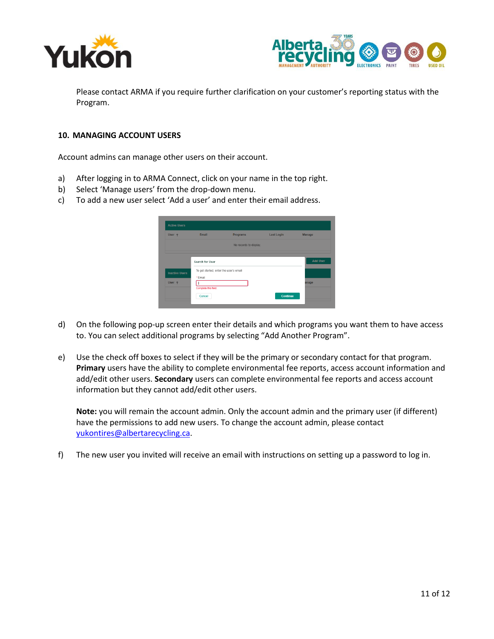



Please contact ARMA if you require further clarification on your customer's reporting status with the Program.

#### <span id="page-10-0"></span>**10. MANAGING ACCOUNT USERS**

Account admins can manage other users on their account.

- a) After logging in to ARMA Connect, click on your name in the top right.
- b) Select 'Manage users' from the drop-down menu.
- c) To add a new user select 'Add a user' and enter their email address.

| User +                | Email                                  | Programs               | <b>Last Login</b> | <b>Manage</b>   |
|-----------------------|----------------------------------------|------------------------|-------------------|-----------------|
|                       |                                        | No records to display. |                   |                 |
|                       | Search for User                        |                        |                   | <b>Add User</b> |
| <b>Inactive Users</b> | To get started, enter the user's email |                        |                   |                 |
|                       | *Email                                 |                        |                   |                 |
| User 1                | Complete this field.                   |                        |                   | anage           |
|                       | Cancel                                 |                        | <b>Continue</b>   |                 |

- d) On the following pop-up screen enter their details and which programs you want them to have access to. You can select additional programs by selecting "Add Another Program".
- e) Use the check off boxes to select if they will be the primary or secondary contact for that program. **Primary** users have the ability to complete environmental fee reports, access account information and add/edit other users. **Secondary** users can complete environmental fee reports and access account information but they cannot add/edit other users.

**Note:** you will remain the account admin. Only the account admin and the primary user (if different) have the permissions to add new users. To change the account admin, please contact [yukontires@albertarecycling.ca.](mailto:yukontires@albertarecycling.ca)

f) The new user you invited will receive an email with instructions on setting up a password to log in.